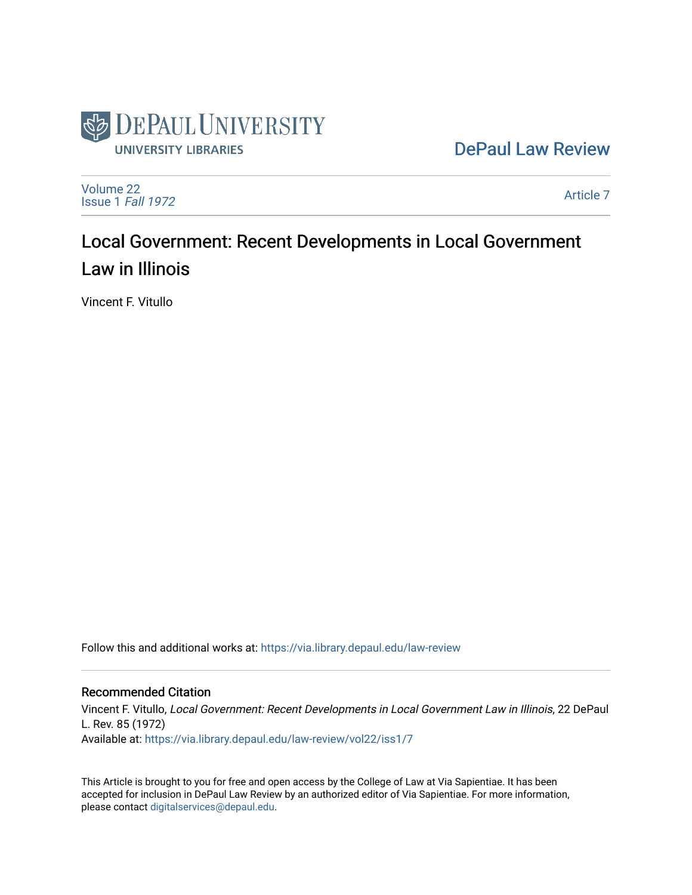

[DePaul Law Review](https://via.library.depaul.edu/law-review) 

[Volume 22](https://via.library.depaul.edu/law-review/vol22) [Issue 1](https://via.library.depaul.edu/law-review/vol22/iss1) Fall 1972

[Article 7](https://via.library.depaul.edu/law-review/vol22/iss1/7) 

# Local Government: Recent Developments in Local Government Law in Illinois

Vincent F. Vitullo

Follow this and additional works at: [https://via.library.depaul.edu/law-review](https://via.library.depaul.edu/law-review?utm_source=via.library.depaul.edu%2Flaw-review%2Fvol22%2Fiss1%2F7&utm_medium=PDF&utm_campaign=PDFCoverPages) 

## Recommended Citation

Vincent F. Vitullo, Local Government: Recent Developments in Local Government Law in Illinois, 22 DePaul L. Rev. 85 (1972) Available at: [https://via.library.depaul.edu/law-review/vol22/iss1/7](https://via.library.depaul.edu/law-review/vol22/iss1/7?utm_source=via.library.depaul.edu%2Flaw-review%2Fvol22%2Fiss1%2F7&utm_medium=PDF&utm_campaign=PDFCoverPages) 

This Article is brought to you for free and open access by the College of Law at Via Sapientiae. It has been accepted for inclusion in DePaul Law Review by an authorized editor of Via Sapientiae. For more information, please contact [digitalservices@depaul.edu.](mailto:digitalservices@depaul.edu)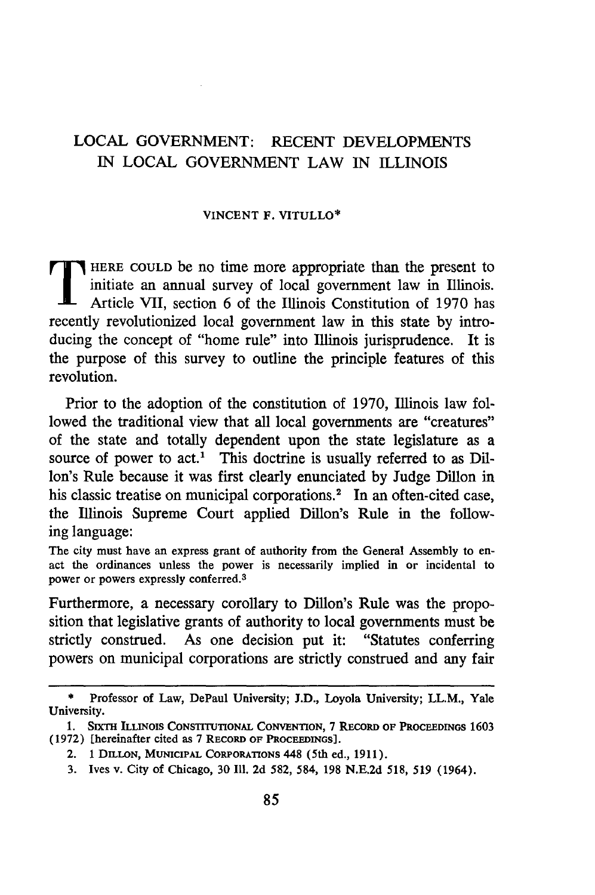## LOCAL GOVERNMENT: RECENT DEVELOPMENTS IN LOCAL GOVERNMENT LAW IN ILLINOIS

### VINCENT F. VITULLO\*

initiate an annual survey of local government law in Illinois. Article VII, section 6 of the Illinois Constitution of 1970 has recently revolutionized local government law in this state by introducing the concept of "home rule" into Illinois jurisprudence. It is the purpose of this survey to outline the principle features of this revolution.

Prior to the adoption of the constitution of 1970, Illinois law followed the traditional view that all local governments are "creatures" of the state and totally dependent upon the state legislature as a source of power to act.<sup>1</sup> This doctrine is usually referred to as Dillon's Rule because it was first clearly enunciated by Judge Dillon in his classic treatise on municipal corporations.<sup>2</sup> In an often-cited case, the Illinois Supreme Court applied Dillon's Rule in the following language:

The city must have an express grant of authority from the General Assembly to enact the ordinances unless the power is necessarily implied in or incidental to power or powers expressly conferred.<sup>3</sup>

Furthermore, a necessary corollary to Dillon's Rule was the proposition that legislative grants of authority to local governments must be strictly construed. As one decision put it: "Statutes conferring powers on municipal corporations are strictly construed and any fair

**<sup>\*</sup>** Professor of Law, DePaul University; **J.D.,** Loyola University; LL.M., Yale University.

<sup>1.</sup> **SIXTH** ILLINOIS **CONSTITUTIONAL** CONVENTION, 7 **RECORD** OF **PROCEEDINGS** 1603 **(1972)** [hereinafter cited as 7 **RECORD OF PROCEEDINGS].**

<sup>2. 1</sup> DILLON, MUNICIPAL CORPORATIONS 448 (5th ed., 1911).

<sup>3.</sup> Ives v. City of Chicago, 30 **111.** 2d 582, 584, 198 N.E.2d 518, 519 (1964).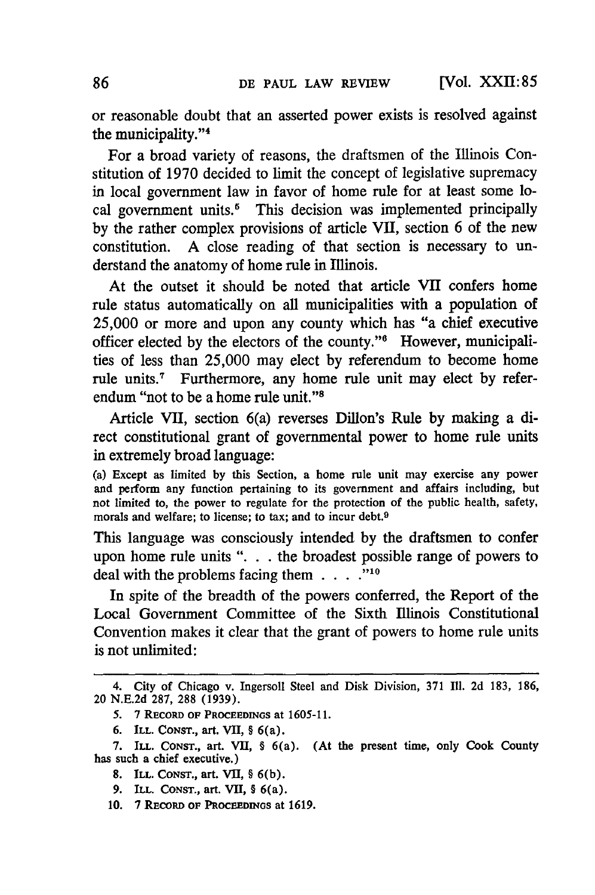or reasonable doubt that an asserted power exists is resolved against the municipality."<sup>4</sup>

For a broad variety of reasons, the draftsmen of the Illinois Constitution of 1970 decided to limit the concept of legislative supremacy in local government law in favor of home rule for at least some local government units.<sup>5</sup> This decision was implemented principally by the rather complex provisions of article VII, section 6 of the new constitution. A close reading of that section is necessary to understand the anatomy of home rule in Illinois.

At the outset it should be noted that article VII confers home rule status automatically on all municipalities with a population of 25,000 or more and upon any county which has "a chief executive officer elected by the electors of the county."<sup>6</sup> However, municipalities of less than 25,000 may elect by referendum to become home rule units.<sup>7</sup> Furthermore, any home rule unit may elect by referendum "not to be a home rule unit."<sup>8</sup>

Article VII, section 6(a) reverses Dillon's Rule by making a direct constitutional grant of governmental power to home rule units in extremely broad language:

(a) Except as limited by this Section, a home rule unit may exercise any power and perform any function pertaining to its government and affairs including, but not limited to, the power to regulate for the protection of the public health, safety, morals and welfare; to license; to tax; and to incur debt.<sup>9</sup>

This language was consciously intended by the draftsmen to confer upon home rule units ". **.** . the broadest possible range of powers to deal with the problems facing them  $\ldots$ .<sup>10</sup>

In spite of the breadth of the powers conferred, the Report of the Local Government Committee of the Sixth Illinois Constitutional Convention makes it clear that the grant of powers to home rule units is not unlimited:

<sup>4.</sup> City of Chicago v. Ingersoll Steel and Disk Division, 371 Ill. 2d 183, 186, 20 N.E.2d 287, 288 (1939).

**<sup>5. 7</sup> RECORD OF PROCEEDINGS at 1605-11.**

**<sup>6.</sup> ILL. CONST., art. VII,** § 6(a).

**<sup>7.</sup> ILL. CONST., art. VII, § 6(a). (At the present time, only Cook County has such a chief executive.)**

**<sup>8.</sup> ILL. CONST., art. VII, § 6(b).**

**<sup>9.</sup> ILL. CONST., art. VII, § 6(a).**

**<sup>10. 7</sup>** RECORD **OF PROCEEDNGS at 1619.**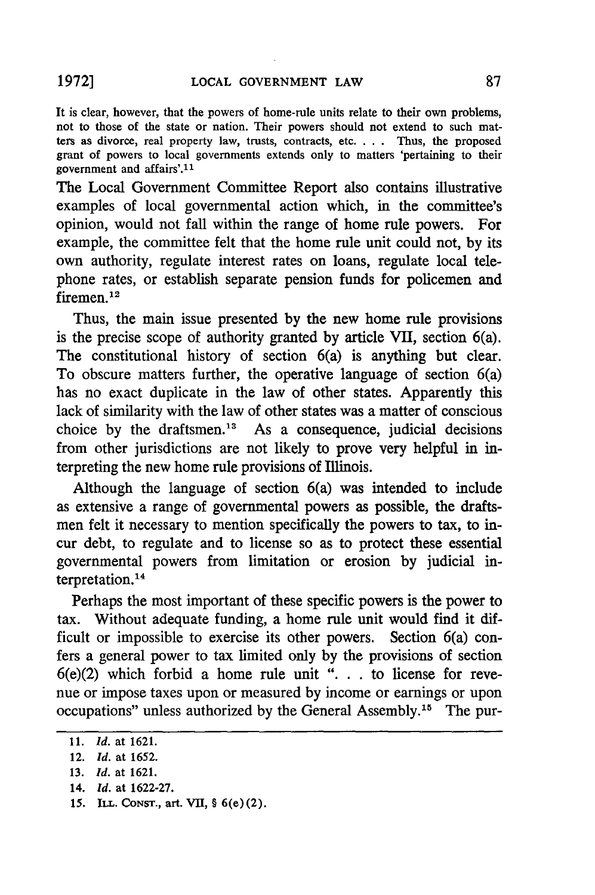It is clear, however, that the powers of home-rule units relate to their own problems, not to those of the state or nation. Their powers should not extend to such matters as divorce, real property law, trusts, contracts, etc. . . . Thus, the proposed grant of powers to local governments extends only to matters 'pertaining to their government and affairs'. <sup>11</sup>

The Local Government Committee Report also contains illustrative examples of local governmental action which, in the committee's opinion, would not fall within the range of home rule powers. For example, the committee felt that the home rule unit could not, by its own authority, regulate interest rates on loans, regulate local telephone rates, or establish separate pension funds for policemen and firemen.<sup>12</sup>

Thus, the main issue presented by the new home rule provisions is the precise scope of authority granted by article VII, section 6(a). The constitutional history of section 6(a) is anything but clear. To obscure matters further, the operative language of section 6(a) has no exact duplicate in the law of other states. Apparently this lack of similarity with the law of other states was a matter of conscious choice by the draftsmen.13 As a consequence, judicial decisions from other jurisdictions are not likely to prove very helpful in interpreting the new home rule provisions of Illinois.

Although the language of section 6(a) was intended to include as extensive a range of governmental powers as possible, the draftsmen felt it necessary to mention specifically the powers to tax, to incur debt, to regulate and to license so as to protect these essential governmental powers from limitation or erosion by judicial interpretation.<sup>14</sup>

Perhaps the most important of these specific powers is the power to tax. Without adequate funding, a home rule unit would find it difficult or impossible to exercise its other powers. Section 6(a) confers a general power to tax limited only by the provisions of section 6(e)(2) which forbid a home rule unit ". **.** . to license for revenue or impose taxes upon or measured by income or earnings or upon occupations" unless authorized by the General Assembly.<sup>15</sup> The pur-

- 14. *Id.* at 1622-27.
- *15.* **ILL. CONST., art. Vii,** § 6(e)(2).

<sup>11.</sup> *Id.* at 1621.

<sup>12.</sup> *Id.* at **1652.**

<sup>13.</sup> *Id.* at 1621.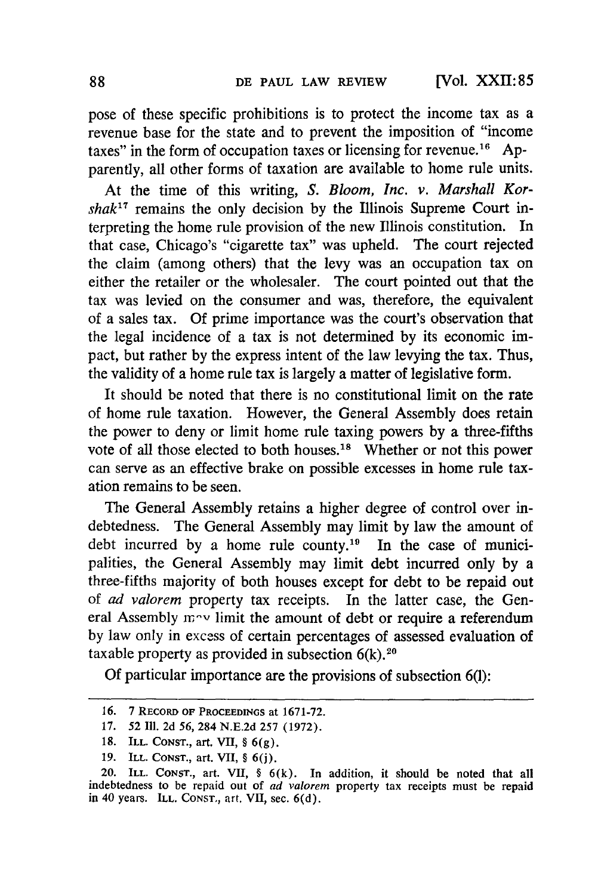pose of these specific prohibitions is to protect the income tax as a revenue base for the state and to prevent the imposition of "income taxes" in the form of occupation taxes or licensing for revenue.<sup>16</sup> Apparently, all other forms of taxation are available to home rule units.

At the time of this writing, *S. Bloom, Inc. v. Marshall Korshak"* remains the only decision by the Illinois Supreme Court interpreting the home rule provision of the new Illinois constitution. In that case, Chicago's "cigarette tax" was upheld. The court rejected the claim (among others) that the levy was an occupation tax on either the retailer or the wholesaler. The court pointed out that the tax was levied on the consumer and was, therefore, the equivalent of a sales tax. **Of** prime importance was the court's observation that the legal incidence of a tax is not determined by its economic impact, but rather by the express intent of the law levying the tax. Thus, the validity of a home rule tax is largely a matter of legislative form.

It should be noted that there is no constitutional limit on the rate of home rule taxation. However, the General Assembly does retain the power to deny or limit home rule taxing powers by a three-fifths vote of all those elected to both houses.<sup>18</sup> Whether or not this power can serve as an effective brake on possible excesses in home rule taxation remains to be seen.

The General Assembly retains a higher degree of control over indebtedness. The General Assembly may limit by law the amount of debt incurred by a home rule county.<sup>19</sup> In the case of municipalities, the General Assembly may limit debt incurred only by a three-fifths majority of both houses except for debt to be repaid out of *ad valorem* property tax receipts. In the latter case, the General Assembly  $m \sim$  limit the amount of debt or require a referendum by law only in excess of certain percentages of assessed evaluation of taxable property as provided in subsection  $6(k)$ .<sup>20</sup>

Of particular importance are the provisions of subsection 6(1):

<sup>16.</sup> 7 **RECORD OF PROCEEDINGS** at **1671-72.**

**<sup>17. 52</sup> I11. 2d** 56, 284 **N.E.2d 257** (1972).

**<sup>18.</sup>** ILL. **CONST.,** art. VII, § 6(g).

<sup>19.</sup> ILL. **CONST.,** art. VII, § 6(j).

<sup>20.</sup> ILL. **CONST.,** art. VII, § 6(k). In addition, it should be noted that all indebtedness to be repaid out of **ad** valorem property tax receipts must be repaid in 40 years. ILL. CONST,, art. VII, sec. 6(d).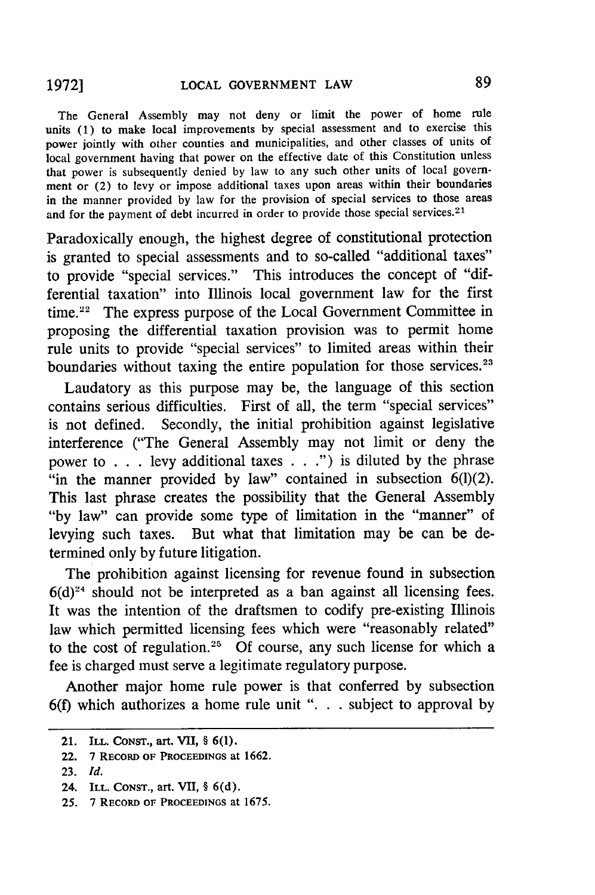The General Assembly may not deny or limit the power of home rule units (1) to make local improvements by special assessment and to exercise this power jointly with other counties and municipalities, and other classes of units of local government having that power on the effective date of this Constitution unless that power is subsequently denied by law to any such other units of local government or (2) to levy or impose additional taxes upon areas within their boundaries in the manner provided by law for the provision of special services to those areas and for the payment of debt incurred in order to provide those special services.<sup>21</sup>

Paradoxically enough, the highest degree of constitutional protection is granted to special assessments and to so-called "additional taxes" to provide "special services." This introduces the concept of "differential taxation" into Illinois local government law for the first time.<sup>22</sup> The express purpose of the Local Government Committee in proposing the differential taxation provision was to permit home rule units to provide "special services" to limited areas within their boundaries without taxing the entire population for those services.<sup>23</sup>

Laudatory as this purpose may be, the language of this section contains serious difficulties. First of all, the term "special services" is not defined. Secondly, the initial prohibition against legislative interference ("The General Assembly may not limit or deny the power to . . . levy additional taxes . . .") is diluted by the phrase "in the manner provided by law" contained in subsection  $6(1)(2)$ . This last phrase creates the possibility that the General Assembly "by law" can provide some type of limitation in the "manner" of levying such taxes. But what that limitation may be can be determined only by future litigation.

The prohibition against licensing for revenue found in subsection  $6(d)^{24}$  should not be interpreted as a ban against all licensing fees. It was the intention of the draftsmen to codify pre-existing Illinois law which permitted licensing fees which were "reasonably related" to the cost of regulation.<sup>25</sup> Of course, any such license for which a fee is charged must serve a legitimate regulatory purpose.

Another major home rule power is that conferred by subsection **6(f)** which authorizes a home rule unit "... subject to approval by

<sup>21.</sup> **ILL. CONST., art. VII, § 6(1).**

<sup>22.</sup> **7 RECORD OF PROCEEDINGS at 1662.**

<sup>23.</sup> *Id.*

<sup>24.</sup> ILL. **CONST.,** art. VII, **§ 6(d).**

<sup>25. 7</sup> **RECORD OF PROCEEDINGS** at 1675.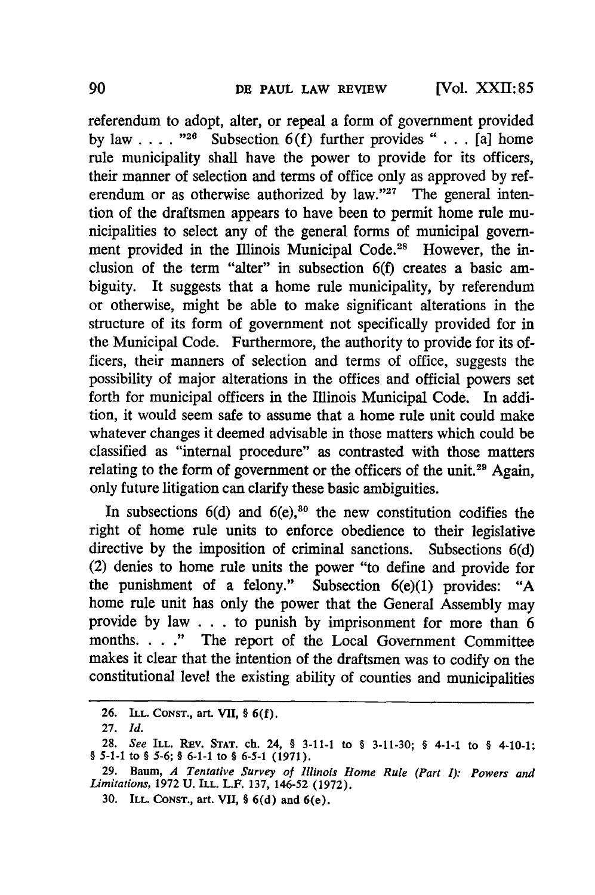referendum to adopt, alter, or repeal a form of government provided by law  $\ldots$  . "<sup>26</sup> Subsection 6(f) further provides " $\ldots$  [a] home rule municipality shall have the power to provide for its officers, their manner of selection and terms of office only as approved by referendum or as otherwise authorized by law."<sup>27</sup> The general intention of the draftsmen appears to have been to permit home rule municipalities to select any of the general forms of municipal government provided in the Illinois Municipal Code.<sup>28</sup> However, the inclusion of the term "alter" in subsection 6(f) creates a basic ambiguity. It suggests that a home rule municipality, by referendum or otherwise, might be able to make significant alterations in the structure of its form of government not specifically provided for in the Municipal Code. Furthermore, the authority to provide for its officers, their manners of selection and terms of office, suggests the possibility of major alterations in the offices and official powers set forth for municipal officers in the Illinois Municipal Code. In addition, it would seem safe to assume that a home rule unit could make whatever changes it deemed advisable in those matters which could be classified as "internal procedure" as contrasted with those matters relating to the form of government or the officers of the unit.<sup>29</sup> Again, only future litigation can clarify these basic ambiguities.

In subsections  $6(d)$  and  $6(e)$ ,<sup>80</sup> the new constitution codifies the right of home rule units to enforce obedience to their legislative directive by the imposition of criminal sanctions. Subsections 6(d) (2) denies to home rule units the power "to define and provide for the punishment of a felony." Subsection 6(e)(1) provides: "A home rule unit has only the power that the General Assembly may provide by law . . .to punish by imprisonment for more than 6 months. . . **."** The report of the Local Government Committee makes it clear that the intention of the draftsmen was to codify on the constitutional level the existing ability of counties and municipalities

**<sup>26.</sup> ILL. CONST., art. VII, § 6(f).**

**<sup>27.</sup>** *Id.*

**<sup>28.</sup>** *See* **ILL.** REv. **STAT.** ch. 24, § **3-11-1** to § 3-11-30; § 4-1-1 to § 4-10-1; *§* **5-1-1** to § **5-6;** § **6-1-1 to § 6-5-1 (1971).**

**<sup>29.</sup> Baum,** *A Tentative Survey of Illinois Home Rule (Part I): Powers and Limitations,* **1972 U. ILL. L.F. 137,** 146-52 **(1972).**

**<sup>30.</sup> ILL. CONST., art. VII, § 6(d) and 6(e).**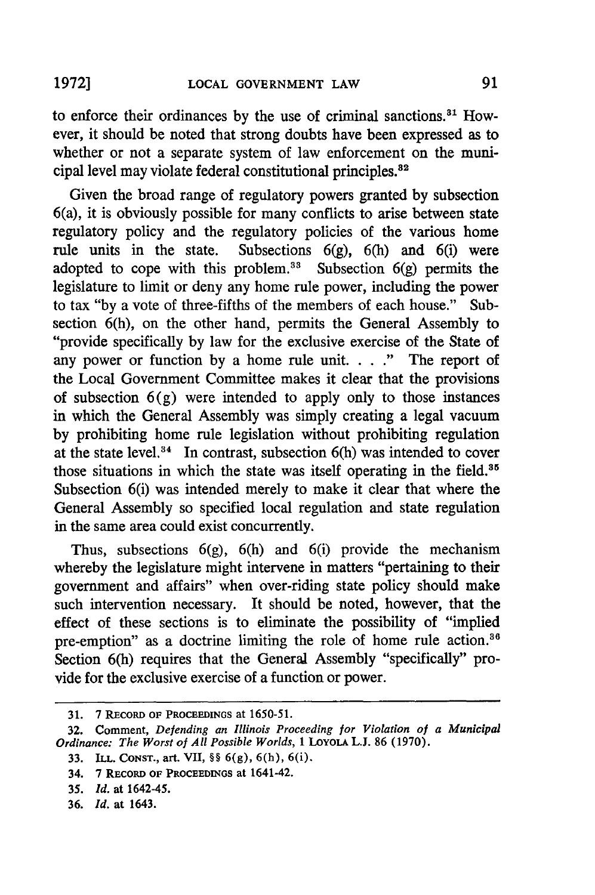91

to enforce their ordinances by the use of criminal sanctions."' However, it should be noted that strong doubts have been expressed as to whether or not a separate system of law enforcement on the municipal level may violate federal constitutional principles.<sup>82</sup>

Given the broad range of regulatory powers granted by subsection 6(a), it is obviously possible for many conflicts to arise between state regulatory policy and the regulatory policies of the various home rule units in the state. Subsections 6(g), 6(h) and 6(i) were adopted to cope with this problem.<sup>33</sup> Subsection  $6(g)$  permits the legislature to limit or deny any home rule power, including the power to tax "by a vote of three-fifths of the members of each house." Subsection 6(h), on the other hand, permits the General Assembly to "provide specifically by law for the exclusive exercise of the State of any power or function by a home rule unit. . . **."** The report of the Local Government Committee makes it clear that the provisions of subsection  $6(g)$  were intended to apply only to those instances in which the General Assembly was simply creating a legal vacuum by prohibiting home rule legislation without prohibiting regulation at the state level. $34$  In contrast, subsection 6(h) was intended to cover those situations in which the state was itself operating in the field.<sup>85</sup> Subsection 6(i) was intended merely to make it clear that where the General Assembly so specified local regulation and state regulation in the same area could exist concurrently.

Thus, subsections  $6(g)$ ,  $6(h)$  and  $6(i)$  provide the mechanism whereby the legislature might intervene in matters "pertaining to their government and affairs" when over-riding state policy should make such intervention necessary. It should be noted, however, that the effect of these sections is to eliminate the possibility of "implied pre-emption" as a doctrine limiting the role of home rule action.<sup>36</sup> Section 6(h) requires that the General Assembly "specifically" provide for the exclusive exercise of a function or power.

**<sup>31. 7</sup> RECORD** OF PROCEEDINGS at 1650-51.

**<sup>32.</sup>** Comment, *Defending an Illinois Proceeding for Violation of a Municipal Ordinance: The Worst of All Possible Worlds,* **1** LOYOLA **L.J. 86 (1970).**

**<sup>33.</sup>** ILL. **CONST.,** art. VII, **§§ 6(g), 6(h),** 6(i).

<sup>34. 7</sup> **RECORD** OF **PROCEEDINGS** at 1641-42.

<sup>35.</sup> *Id.* at 1642-45.

**<sup>36.</sup>** *Id.* at 1643.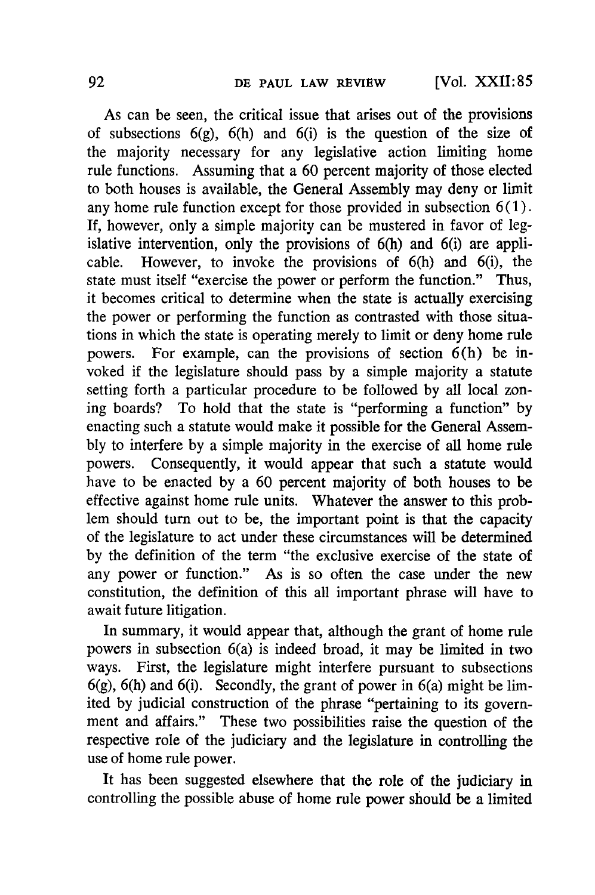As can be seen, the critical issue that arises out of the provisions of subsections  $6(g)$ ,  $6(h)$  and  $6(i)$  is the question of the size of the majority necessary for any legislative action limiting home rule functions. Assuming that a 60 percent majority of those elected to both houses is available, the General Assembly may deny or limit any home rule function except for those provided in subsection  $6(1)$ . **If,** however, only a simple majority can be mustered in favor of legislative intervention, only the provisions of 6(h) and 6(i) are applicable. However, to invoke the provisions of 6(h) and 6(i), the state must itself "exercise the power or perform the function." Thus, it becomes critical to determine when the state is actually exercising the power or performing the function as contrasted with those situations in which the state is operating merely to limit or deny home rule powers. For example, can the provisions of section 6(h) be invoked if the legislature should pass **by** a simple majority a statute setting forth a particular procedure to be followed **by** all local zoning boards? To hold that the state is "performing a function" **by** enacting such a statute would make it possible for the General Assem**bly** to interfere **by** a simple majority in the exercise of all home rule powers. Consequently, it would appear that such a statute would have to be enacted **by** a 60 percent majority of both houses to be effective against home rule units. Whatever the answer to this problem should turn out to be, the important point is that the capacity of the legislature to act under these circumstances will be determined **by** the definition of the term "the exclusive exercise of the state of any power or function." As is so often the case under the new constitution, the definition of this all important phrase will have to await future litigation.

In summary, it would appear that, although the grant of home rule powers in subsection 6(a) is indeed broad, it may be limited in two ways. First, the legislature might interfere pursuant to subsections  $6(g)$ ,  $6(h)$  and  $6(i)$ . Secondly, the grant of power in  $6(a)$  might be limited **by** judicial construction of the phrase "pertaining to its government and affairs." These two possibilities raise the question of the respective role of the judiciary and the legislature in controlling the use of home rule power.

It has been suggested elsewhere that the role of the judiciary in controlling the possible abuse of home rule power should be a limited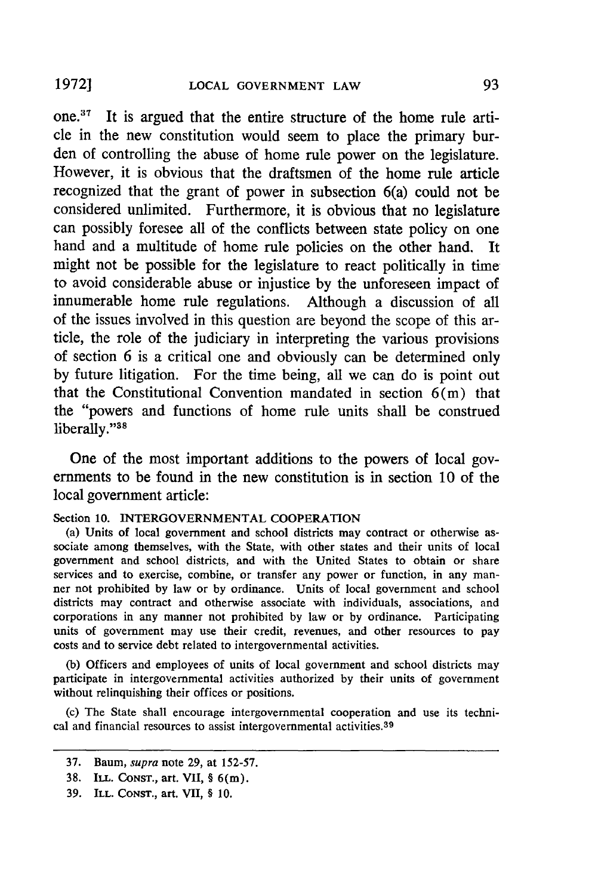one.37 It is argued that the entire structure of the home rule article in the new constitution would seem to place the primary burden of controlling the abuse of home rule power on the legislature. However, it is obvious that the draftsmen of the home rule article recognized that the grant of power in subsection 6(a) could not be considered unlimited. Furthermore, it is obvious that no legislature can possibly foresee all of the conflicts between state policy on one hand and a multitude of home rule policies on the other hand. It might not be possible for the legislature to react politically in time to avoid considerable abuse or injustice by the unforeseen impact of innumerable home rule regulations. Although a discussion of all of the issues involved in this question are beyond the scope **of** this article, the role of the judiciary in interpreting the various provisions of section 6 is a critical one and obviously can be determined only by future litigation. For the time being, all we can do is point out that the Constitutional Convention mandated in section 6(m) that the "powers and functions of home rule units shall be construed liberally."<sup>38</sup>

One of the most important additions to the powers of local governments to be found in the new constitution is in section 10 of the local government article:

### Section **10. INTERGOVERNMENTAL** COOPERATION

(a) Units of local government and school districts may contract or otherwise associate among themselves, with the State, with other states and their units of local government and school districts, and with the United States to obtain or share services and to exercise, combine, or transfer any power or function, in any manner not prohibited by law or by ordinance. Units of local government and school districts may contract and otherwise associate with individuals, associations, and corporations in any manner not prohibited by law or by ordinance. Participating units of government may use their credit, revenues, and other resources to pay costs and to service debt related to intergovernmental activities.

(b) Officers and employees of units of local government and school districts may participate in intergovernmental activities authorized by their units of government without relinquishing their offices or positions.

(c) The State shall encourage intergovernmental cooperation and use its technical and financial resources to assist intergovernmental activities.<sup>39</sup>

**19721**

<sup>37.</sup> Baum, supra note 29, at 152-57.

<sup>38.</sup> ILL. **CONST.,** art. VII, § 6(m).

**<sup>39.</sup>** ILL. **CONsT.,** art. VII, **§** 10.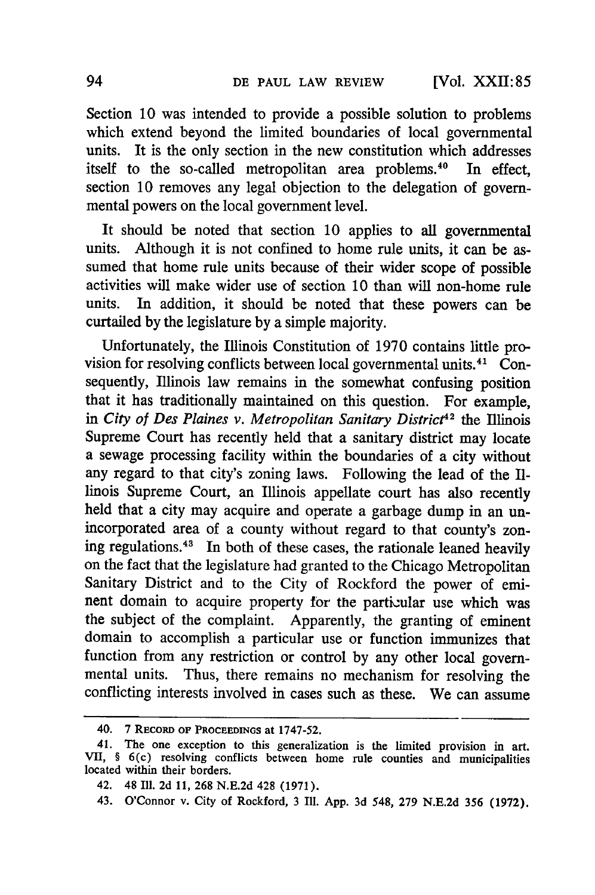Section 10 was intended to provide a possible solution to problems which extend beyond the limited boundaries of local governmental units. It is the only section in the new constitution which addresses itself to the so-called metropolitan area problems.<sup>40</sup> In effect, section 10 removes any legal objection to the delegation of governmental powers on the local government level.

It should be noted that section 10 applies to all governmental units. Although it is not confined to home rule units, it can be assumed that home rule units because of their wider scope of possible activities will make wider use of section 10 than will non-home rule units. In addition, it should be noted that these powers can be curtailed **by** the legislature **by** a simple majority.

Unfortunately, the Illinois Constitution of 1970 contains little provision for resolving conflicts between local governmental units. $41\degree$ Consequently, Illinois law remains in the somewhat confusing position that it has traditionally maintained on this question. For example, in *City of Des Plaines v. Metropolitan Sanitary District<sup>42</sup> the Illinois* Supreme Court has recently held that a sanitary district may locate a sewage processing facility within the boundaries of a city without any regard to that city's zoning laws. Following the lead of the Illinois Supreme Court, an Illinois appellate court has also recently held that a city may acquire and operate a garbage dump in an unincorporated area of a county without regard to that county's zoning regulations.43 In both of these cases, the rationale leaned heavily on the fact that the legislature had granted to the Chicago Metropolitan Sanitary District and to the City of Rockford the power of eminent domain to acquire property for the particular use which was the subject of the complaint. Apparently, the granting of eminent domain to accomplish a particular use or function immunizes that function from any restriction or control **by** any other local governmental units. Thus, there remains no mechanism for resolving the conflicting interests involved in cases such as these. We can assume

<sup>40. 7</sup> RECORD OF **PROCEEDINGs** at 1747-52.

<sup>41.</sup> The one exception to this generalization is the limited provision in art. VII, § 6(c) resolving conflicts between home rule counties and municipalities located within their borders.

<sup>42. 48</sup> Ill. 2d 11, 268 N.E.2d 428 (1971).

<sup>43.</sup> O'Connor v. City of Rockford, 3 Ill. App. 3d 548, 279 N.E.2d 356 (1972).